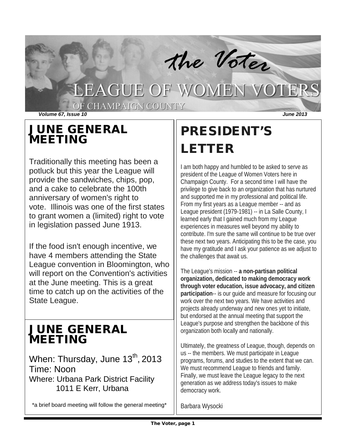

## JUNE GENERAL MEETING

Traditionally this meeting has been a potluck but this year the League will provide the sandwiches, chips, pop, and a cake to celebrate the 100th anniversary of women's right to vote. Illinois was one of the first states to grant women a (limited) right to vote in legislation passed June 1913.

If the food isn't enough incentive, we have 4 members attending the State League convention in Bloomington, who will report on the Convention's activities at the June meeting. This is a great time to catch up on the activities of the State League.

## JUNE GENERAL MEETING

When: Thursday, June 13<sup>th</sup>, 2013 Time: Noon Where: Urbana Park District Facility 1011 E Kerr, Urbana

\*a brief board meeting will follow the general meeting\*

# PRESIDENT'S LETTER

I am both happy and humbled to be asked to serve as president of the League of Women Voters here in Champaign County. For a second time I will have the privilege to give back to an organization that has nurtured and supported me in my professional and political life. From my first years as a League member -- and as League president (1979-1981) -- in La Salle County, I learned early that I gained much from my League experiences in measures well beyond my ability to contribute. I'm sure the same will continue to be true over these next two years. Anticipating this to be the case, you have my gratitude and I ask your patience as we adjust to the challenges that await us.

The League's mission -- **a non-partisan political organization, dedicated to making democracy work through voter education, issue advocacy, and citizen participation**-- is our guide and measure for focusing our work over the next two years. We have activities and projects already underway and new ones yet to initiate, but endorsed at the annual meeting that support the League's purpose and strengthen the backbone of this organization both locally and nationally.

Ultimately, the greatness of League, though, depends on us -- the members. We must participate in League programs, forums, and studies to the extent that we can. We must recommend League to friends and family. Finally, we must leave the League legacy to the next generation as we address today's issues to make democracy work.

Barbara Wysocki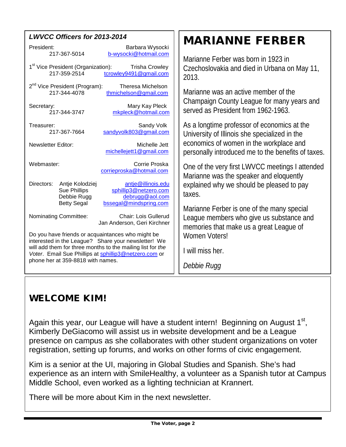| <b>LWVCC Officers for 2013-2014</b>                                                        | <b>MARIANNE FERBER</b>                             |
|--------------------------------------------------------------------------------------------|----------------------------------------------------|
| President:<br>Barbara Wysocki                                                              |                                                    |
| b-wysocki@hotmail.com<br>217-367-5014                                                      | Marianne Ferber was born in 1923 in                |
| 1 <sup>st</sup> Vice President (Organization):<br><b>Trisha Crowley</b>                    |                                                    |
| tcrowley9491@gmail.com<br>217-359-2514                                                     | Czechoslovakia and died in Urbana on May 11,       |
|                                                                                            | 2013.                                              |
| 2 <sup>nd</sup> Vice President (Program):<br>Theresa Michelson                             |                                                    |
| 217-344-4078<br>thmichelson@gmail.com                                                      | Marianne was an active member of the               |
| Mary Kay Pleck<br>Secretary:                                                               | Champaign County League for many years and         |
| mkpleck@hotmail.com<br>217-344-3747                                                        | served as President from 1962-1963.                |
|                                                                                            |                                                    |
| Sandy Volk<br>Treasurer:                                                                   | As a longtime professor of economics at the        |
| sandyvolk803@gmail.com<br>217-367-7664                                                     | University of Illinois she specialized in the      |
| <b>Newsletter Editor:</b><br>Michelle Jett                                                 | economics of women in the workplace and            |
| michellejett1@gmail.com                                                                    | personally introduced me to the benefits of taxes. |
| Webmaster:<br>Corrie Proska                                                                |                                                    |
| corrieproska@hotmail.com                                                                   | One of the very first LWVCC meetings I attended    |
|                                                                                            | Marianne was the speaker and eloquently            |
| Directors:<br>Antje Kolodziej<br>antje@illinois.edu                                        | explained why we should be pleased to pay          |
| sphillip3@netzero.com<br><b>Sue Phillips</b><br>debrugg@aol.com                            | taxes.                                             |
| Debbie Rugg<br>bssegal@mindspring.com<br><b>Betty Segal</b>                                |                                                    |
|                                                                                            | Marianne Ferber is one of the many special         |
| <b>Chair: Lois Gullerud</b><br>Nominating Committee:                                       | League members who give us substance and           |
| Jan Anderson, Geri Kirchner                                                                | memories that make us a great League of            |
| Do you have friends or acquaintances who might be                                          | Women Voters!                                      |
| interested in the League? Share your newsletter! We                                        |                                                    |
| will add them for three months to the mailing list for the                                 | I will miss her.                                   |
| Voter. Email Sue Phillips at sphillip3@netzero.com or<br>phone her at 359-8818 with names. |                                                    |
|                                                                                            | Debbie Rugg                                        |
|                                                                                            |                                                    |

## WELCOME KIM!

Again this year, our League will have a student intern! Beginning on August  $1<sup>st</sup>$ , Kimberly DeGiacomo will assist us in website development and be a League presence on campus as she collaborates with other student organizations on voter registration, setting up forums, and works on other forms of civic engagement.

Kim is a senior at the UI, majoring in Global Studies and Spanish. She's had experience as an intern with SmileHealthy, a volunteer as a Spanish tutor at Campus Middle School, even worked as a lighting technician at Krannert.

There will be more about Kim in the next newsletter.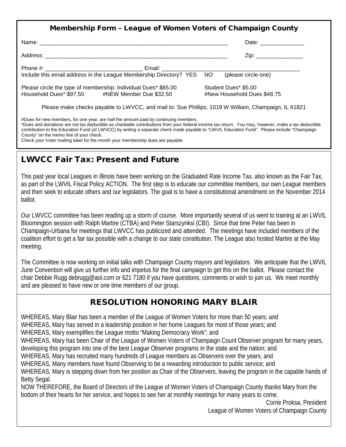|                                                                                                                   | Date: __________________                            |
|-------------------------------------------------------------------------------------------------------------------|-----------------------------------------------------|
|                                                                                                                   | Zip: _________________                              |
| Include this email address in the League Membership Directory? YES NO                                             | (please circle one)                                 |
| Please circle the type of membership: Individual Dues* \$65.00<br>Household Dues* \$97.50 #NEW Member Due \$32.50 | Student Dues* \$5.00<br>#New Household Dues \$48.75 |
| Please make checks payable to LWVCC, and mail to: Sue Phillips, 1018 W William, Champaign, IL 61821               |                                                     |

#Dues for new members, for one year, are half the amount paid by continuing members. \*Dues and donations are not tax deductible as charitable contributions from your federal income tax return. You may, however, make a tax deductible contribution to the Education Fund (of LWVCC) by writing a separate check made payable to "LWVIL Education Fund". Please include "Champaign County" on the memo line of your check. Check your *Voter* mailing label for the month your membership dues are payable.

## LWVCC Fair Tax: Present and Future

This past year local Leagues in Illinois have been working on the Graduated Rate Income Tax, also known as the Fair Tax, as part of the LWVIL Fiscal Policy ACTION. The first step is to educate our committee members, our own League members and then seek to educate others and our legislators. The goal is to have a constitutional amendment on the November 2014 ballot.

Our LWVCC committee has been reading up a storm of course. More importantly several of us went to training at an LWVIL Bloomington session with Ralph Martire (CTBA) and Peter Starszynksi (CBI). Since that time Peter has been in Champaign-Urbana for meetings that LWVCC has publicized and attended. The meetings have included members of the coalition effort to get a fair tax possible with a change to our state constitution. The League also hosted Martire at the May meeting.

The Committee is now working on initial talks with Champaign County mayors and legislators. We anticipate that the LWVIL June Convention will give us further info and impetus for the final campaign to get this on the ballot. Please contact the chair Debbie Rugg [debrugg@aol.com](mailto:debrugg@aol.com) or 621 7180 if you have questions, comments or wish to join us. We meet monthly and are pleased to have new or one time members of our group.

## RESOLUTION HONORING MARY BLAIR

WHEREAS, Mary Blair has been a member of the League of Women Voters for more than 50 years; and WHEREAS, Mary has served in a leadership position in her home Leagues for most of those years; and WHEREAS, Mary exemplifies the League motto "Making Democracy Work"; and WHEREAS, Mary has been Chair of the League of Women Voters of Champaign Count Observer program for many years, developing this program into one of the best League Observer programs in the state and the nation; and WHEREAS, Mary has recruited many hundreds of League members as Observers over the years; and WHEREAS, Many members have found Observing to be a rewarding introduction to public service; and WHEREAS, Mary is stepping down from her position as Chair of the Observers, leaving the program in the capable hands of Betty Segal. NOW THEREFORE, the Board of Directors of the League of Women Voters of Champaign County thanks Mary from the bottom of their hearts for her service, and hopes to see her at monthly meetings for many years to come.

Corrie Proksa, President League of Women Voters of Champaign County